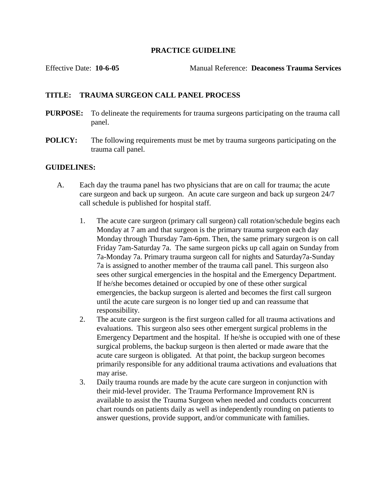## **PRACTICE GUIDELINE**

Effective Date: **10-6-05** Manual Reference: **Deaconess Trauma Services**

## **TITLE: TRAUMA SURGEON CALL PANEL PROCESS**

- **PURPOSE:** To delineate the requirements for trauma surgeons participating on the trauma call panel.
- **POLICY:** The following requirements must be met by trauma surgeons participating on the trauma call panel.

## **GUIDELINES:**

- A. Each day the trauma panel has two physicians that are on call for trauma; the acute care surgeon and back up surgeon. An acute care surgeon and back up surgeon 24/7 call schedule is published for hospital staff.
	- 1. The acute care surgeon (primary call surgeon) call rotation/schedule begins each Monday at 7 am and that surgeon is the primary trauma surgeon each day Monday through Thursday 7am-6pm. Then, the same primary surgeon is on call Friday 7am-Saturday 7a. The same surgeon picks up call again on Sunday from 7a-Monday 7a. Primary trauma surgeon call for nights and Saturday7a-Sunday 7a is assigned to another member of the trauma call panel. This surgeon also sees other surgical emergencies in the hospital and the Emergency Department. If he/she becomes detained or occupied by one of these other surgical emergencies, the backup surgeon is alerted and becomes the first call surgeon until the acute care surgeon is no longer tied up and can reassume that responsibility.
	- 2. The acute care surgeon is the first surgeon called for all trauma activations and evaluations. This surgeon also sees other emergent surgical problems in the Emergency Department and the hospital. If he/she is occupied with one of these surgical problems, the backup surgeon is then alerted or made aware that the acute care surgeon is obligated. At that point, the backup surgeon becomes primarily responsible for any additional trauma activations and evaluations that may arise.
	- 3. Daily trauma rounds are made by the acute care surgeon in conjunction with their mid-level provider. The Trauma Performance Improvement RN is available to assist the Trauma Surgeon when needed and conducts concurrent chart rounds on patients daily as well as independently rounding on patients to answer questions, provide support, and/or communicate with families.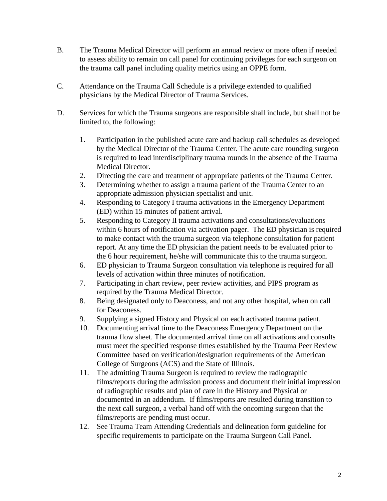- B. The Trauma Medical Director will perform an annual review or more often if needed to assess ability to remain on call panel for continuing privileges for each surgeon on the trauma call panel including quality metrics using an OPPE form.
- C. Attendance on the Trauma Call Schedule is a privilege extended to qualified physicians by the Medical Director of Trauma Services.
- D. Services for which the Trauma surgeons are responsible shall include, but shall not be limited to, the following:
	- 1. Participation in the published acute care and backup call schedules as developed by the Medical Director of the Trauma Center. The acute care rounding surgeon is required to lead interdisciplinary trauma rounds in the absence of the Trauma Medical Director.
	- 2. Directing the care and treatment of appropriate patients of the Trauma Center.
	- 3. Determining whether to assign a trauma patient of the Trauma Center to an appropriate admission physician specialist and unit.
	- 4. Responding to Category I trauma activations in the Emergency Department (ED) within 15 minutes of patient arrival.
	- 5. Responding to Category II trauma activations and consultations/evaluations within 6 hours of notification via activation pager. The ED physician is required to make contact with the trauma surgeon via telephone consultation for patient report. At any time the ED physician the patient needs to be evaluated prior to the 6 hour requirement, he/she will communicate this to the trauma surgeon.
	- 6. ED physician to Trauma Surgeon consultation via telephone is required for all levels of activation within three minutes of notification.
	- 7. Participating in chart review, peer review activities, and PIPS program as required by the Trauma Medical Director.
	- 8. Being designated only to Deaconess, and not any other hospital, when on call for Deaconess.
	- 9. Supplying a signed History and Physical on each activated trauma patient.
	- 10. Documenting arrival time to the Deaconess Emergency Department on the trauma flow sheet. The documented arrival time on all activations and consults must meet the specified response times established by the Trauma Peer Review Committee based on verification/designation requirements of the American College of Surgeons (ACS) and the State of Illinois.
	- 11. The admitting Trauma Surgeon is required to review the radiographic films/reports during the admission process and document their initial impression of radiographic results and plan of care in the History and Physical or documented in an addendum. If films/reports are resulted during transition to the next call surgeon, a verbal hand off with the oncoming surgeon that the films/reports are pending must occur.
	- 12. See Trauma Team Attending Credentials and delineation form guideline for specific requirements to participate on the Trauma Surgeon Call Panel.